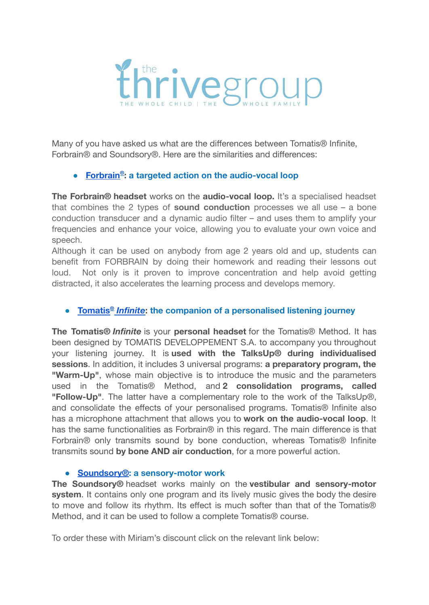

Many of you have asked us what are the differences between Tomatis® Infinite, Forbrain® and Soundsory®. Here are the similarities and differences:

## ● **[Forbrain](https://www.forbrain.com/?utm_id=3A0500905)® : a targeted action on the audio-vocal loop**

**The Forbrain® headset** works on the **audio-vocal loop.** It's a specialised headset that combines the 2 types of **sound conduction** processes we all use – a bone conduction transducer and a dynamic audio filter – and uses them to amplify your frequencies and enhance your voice, allowing you to evaluate your own voice and speech.

Although it can be used on anybody from age 2 years old and up, students can benefit from FORBRAIN by doing their homework and reading their lessons out loud. Not only is it proven to improve concentration and help avoid getting distracted, it also accelerates the learning process and develops memory.

## ● **[Tomatis](https://go.tomatis.com/infinite-landing-en#resources)®** *Infinite***: the companion of a personalised listening journey**

**The Tomatis®** *Infinite* is your **personal headset** for the Tomatis® Method. It has been designed by TOMATIS DEVELOPPEMENT S.A. to accompany you throughout your listening journey. It is **used with the TalksUp® during individualised sessions**. In addition, it includes 3 universal programs: **a preparatory program, the "Warm-Up"**, whose main objective is to introduce the music and the parameters used in the Tomatis® Method, and **2 consolidation programs, called "Follow-Up"**. The latter have a complementary role to the work of the TalksUp®, and consolidate the effects of your personalised programs. Tomatis® Infinite also has a microphone attachment that allows you to **work on the audio-vocal loop**. It has the same functionalities as Forbrain® in this regard. The main difference is that Forbrain® only transmits sound by bone conduction, whereas Tomatis® Infinite transmits sound **by bone AND air conduction**, for a more powerful action.

## **● [Soundsory®](http://soundsory.refr.cc/miriamm): a sensory-motor work**

**The Soundsory®** headset works mainly on the **vestibular and sensory-motor system**. It contains only one program and its lively music gives the body the desire to move and follow its rhythm. Its effect is much softer than that of the Tomatis® Method, and it can be used to follow a complete Tomatis® course.

To order these with Miriam's discount click on the relevant link below: